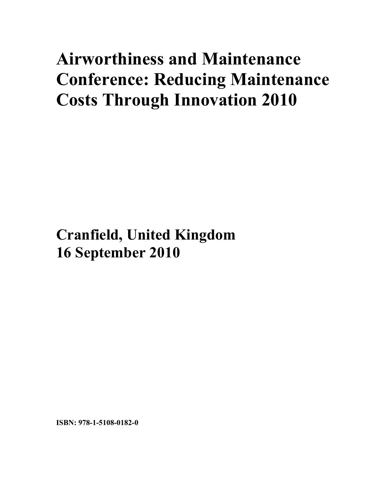## **Airworthiness and Maintenance Conference: Reducing Maintenance Costs Through Innovation 2010**

**Cranfield, United Kingdom 16 September 2010**

**ISBN: 978-1-5108-0182-0**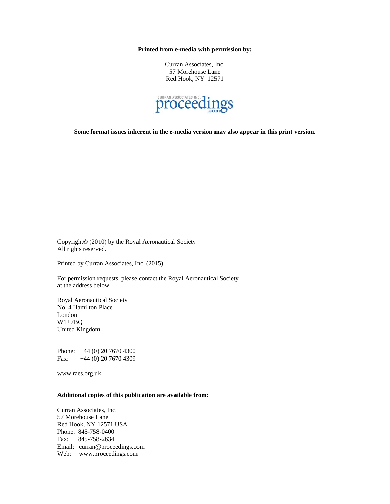**Printed from e-media with permission by:** 

Curran Associates, Inc. 57 Morehouse Lane Red Hook, NY 12571



**Some format issues inherent in the e-media version may also appear in this print version.** 

Copyright© (2010) by the Royal Aeronautical Society All rights reserved.

Printed by Curran Associates, Inc. (2015)

For permission requests, please contact the Royal Aeronautical Society at the address below.

Royal Aeronautical Society No. 4 Hamilton Place London W1J 7BQ United Kingdom

Phone: +44 (0) 20 7670 4300 Fax: +44 (0) 20 7670 4309

www.raes.org.uk

## **Additional copies of this publication are available from:**

Curran Associates, Inc. 57 Morehouse Lane Red Hook, NY 12571 USA Phone: 845-758-0400 Fax: 845-758-2634 Email: curran@proceedings.com Web: www.proceedings.com